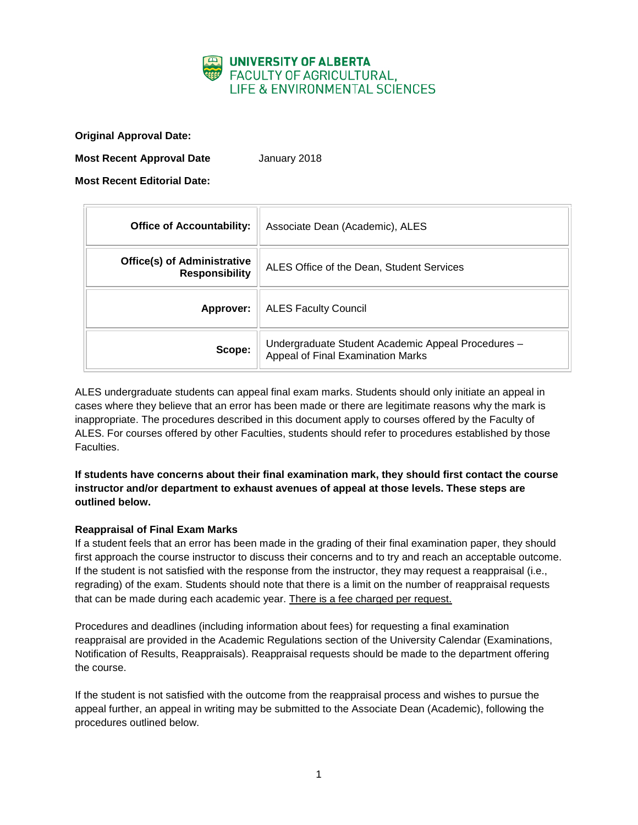

**Original Approval Date:**

**Most Recent Approval Date** January 2018

**Most Recent Editorial Date:**

| <b>Office of Accountability:</b>                            | Associate Dean (Academic), ALES                                                         |
|-------------------------------------------------------------|-----------------------------------------------------------------------------------------|
| <b>Office(s) of Administrative</b><br><b>Responsibility</b> | ALES Office of the Dean, Student Services                                               |
| Approver:                                                   | <b>ALES Faculty Council</b>                                                             |
| Scope:                                                      | Undergraduate Student Academic Appeal Procedures -<br>Appeal of Final Examination Marks |

ALES undergraduate students can appeal final exam marks. Students should only initiate an appeal in cases where they believe that an error has been made or there are legitimate reasons why the mark is inappropriate. The procedures described in this document apply to courses offered by the Faculty of ALES. For courses offered by other Faculties, students should refer to procedures established by those Faculties.

**If students have concerns about their final examination mark, they should first contact the course instructor and/or department to exhaust avenues of appeal at those levels. These steps are outlined below.**

### **Reappraisal of Final Exam Marks**

If a student feels that an error has been made in the grading of their final examination paper, they should first approach the course instructor to discuss their concerns and to try and reach an acceptable outcome. If the student is not satisfied with the response from the instructor, they may request a reappraisal (i.e., regrading) of the exam. Students should note that there is a limit on the number of reappraisal requests that can be made during each academic year. There is a fee charged per request.

Procedures and deadlines (including information about fees) for requesting a final examination reappraisal are provided in the Academic Regulations section of the University Calendar (Examinations, Notification of Results, Reappraisals). Reappraisal requests should be made to the department offering the course.

If the student is not satisfied with the outcome from the reappraisal process and wishes to pursue the appeal further, an appeal in writing may be submitted to the Associate Dean (Academic), following the procedures outlined below.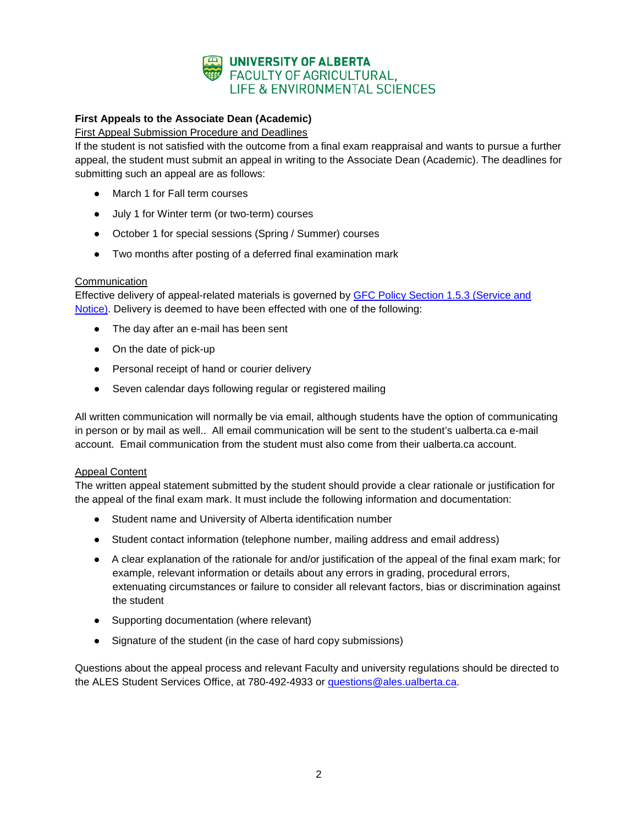

# **First Appeals to the Associate Dean (Academic)**

### First Appeal Submission Procedure and Deadlines

If the student is not satisfied with the outcome from a final exam reappraisal and wants to pursue a further appeal, the student must submit an appeal in writing to the Associate Dean (Academic). The deadlines for submitting such an appeal are as follows:

- March 1 for Fall term courses
- July 1 for Winter term (or two-term) courses
- October 1 for special sessions (Spring / Summer) courses
- Two months after posting of a deferred final examination mark

#### **Communication**

Effective delivery of appeal-related materials is governed by [GFC Policy Section 1.5.3 \(Service and](http://www.governance.ualberta.ca/StudentAppeals/AcademicAppealsPolicy/15AppealProcedures/153ServiceandNotice.aspx)  [Notice\).](http://www.governance.ualberta.ca/StudentAppeals/AcademicAppealsPolicy/15AppealProcedures/153ServiceandNotice.aspx) Delivery is deemed to have been effected with one of the following:

- The day after an e-mail has been sent
- On the date of pick-up
- Personal receipt of hand or courier delivery
- Seven calendar days following regular or registered mailing

All written communication will normally be via email, although students have the option of communicating in person or by mail as well.. All email communication will be sent to the student's ualberta.ca e-mail account. Email communication from the student must also come from their ualberta.ca account.

#### Appeal Content

The written appeal statement submitted by the student should provide a clear rationale or justification for the appeal of the final exam mark. It must include the following information and documentation:

- Student name and University of Alberta identification number
- Student contact information (telephone number, mailing address and email address)
- A clear explanation of the rationale for and/or justification of the appeal of the final exam mark; for example, relevant information or details about any errors in grading, procedural errors, extenuating circumstances or failure to consider all relevant factors, bias or discrimination against the student
- Supporting documentation (where relevant)
- Signature of the student (in the case of hard copy submissions)

Questions about the appeal process and relevant Faculty and university regulations should be directed to the ALES Student Services Office, at 780-492-4933 or *questions@ales.ualberta.ca.*